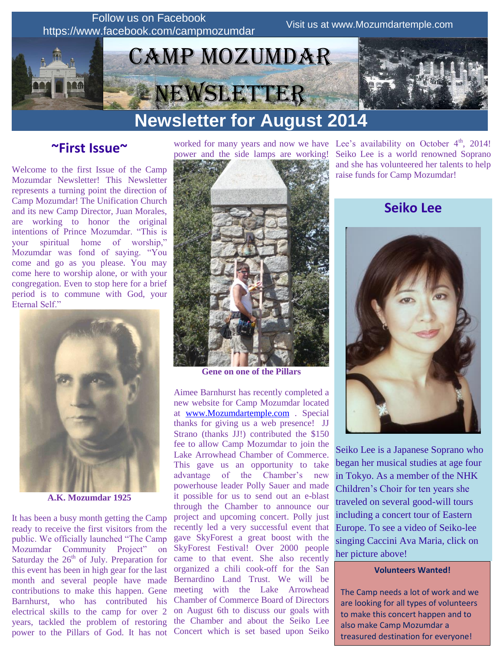

# **Newsletter for August 2014**

**~First Issue~**

Welcome to the first Issue of the Camp Mozumdar Newsletter! This Newsletter represents a turning point the direction of Camp Mozumdar! The Unification Church and its new Camp Director, Juan Morales, are working to honor the original intentions of Prince Mozumdar. "This is your spiritual home of worship," Mozumdar was fond of saying. "You come and go as you please. You may come here to worship alone, or with your congregation. Even to stop here for a brief period is to commune with God, your Eternal Self."



**A.K. Mozumdar 1925**

It has been a busy month getting the Camp ready to receive the first visitors from the public. We officially launched "The Camp Mozumdar Community Project" on Saturday the  $26<sup>th</sup>$  of July. Preparation for this event has been in high gear for the last month and several people have made contributions to make this happen. Gene Barnhurst, who has contributed his electrical skills to the camp for over 2 years, tackled the problem of restoring power to the Pillars of God. It has not

worked for many years and now we have Lee's availability on October  $4<sup>th</sup>$ , 2014! power and the side lamps are working!



**Gene on one of the Pillars**

Aimee Barnhurst has recently completed a new website for Camp Mozumdar located at [www.Mozumdartemple.com](http://www.mozumdartemple.com/) . Special thanks for giving us a web presence! JJ Strano (thanks JJ!) contributed the \$150 fee to allow Camp Mozumdar to join the Lake Arrowhead Chamber of Commerce. This gave us an opportunity to take advantage of the Chamber's new powerhouse leader Polly Sauer and made it possible for us to send out an e-blast through the Chamber to announce our project and upcoming concert. Polly just recently led a very successful event that gave SkyForest a great boost with the SkyForest Festival! Over 2000 people came to that event. She also recently organized a chili cook-off for the San Bernardino Land Trust. We will be meeting with the Lake Arrowhead Chamber of Commerce Board of Directors on August 6th to discuss our goals with the Chamber and about the Seiko Lee Concert which is set based upon Seiko Seiko Lee is a world renowned Soprano and she has volunteered her talents to help raise funds for Camp Mozumdar!

# **Seiko Lee**



Seiko Lee is a Japanese Soprano who began her musical studies at age four in Tokyo. As a member of the NHK Children's Choir for ten years she traveled on several good-will tours including a concert tour of Eastern Europe. To see a video of Seiko-lee singing Caccini Ava Maria, click on her picture above!

#### **Volunteers Wanted!**

The Camp needs a lot of work and we are looking for all types of volunteers to make this concert happen and to also make Camp Mozumdar a treasured destination for everyone!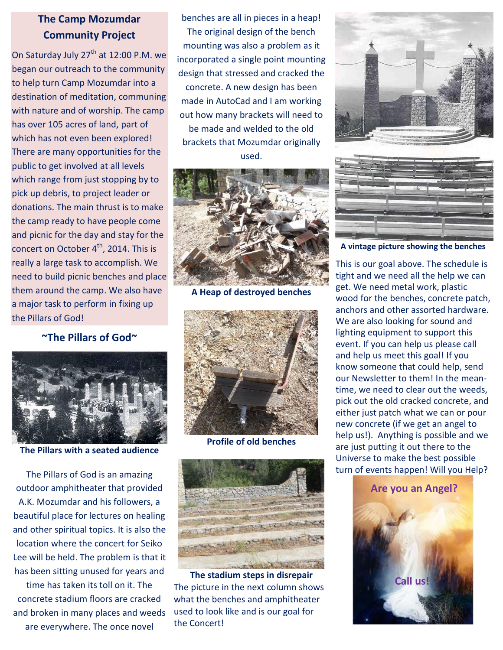## **The Camp Mozumdar Community Project**

On Saturday July 27<sup>th</sup> at 12:00 P.M. we began our outreach to the community to help turn Camp Mozumdar into a destination of meditation, communing with nature and of worship. The camp has over 105 acres of land, part of which has not even been explored! There are many opportunities for the public to get involved at all levels which range from just stopping by to pick up debris, to project leader or donations. The main thrust is to make the camp ready to have people come and picnic for the day and stay for the concert on October  $4<sup>th</sup>$ , 2014. This is really a large task to accomplish. We need to build picnic benches and place them around the camp. We also have a major task to perform in fixing up the Pillars of God!

**~The Pillars of God~**



**The Pillars with a seated audience**

The Pillars of God is an amazing outdoor amphitheater that provided A.K. Mozumdar and his followers, a beautiful place for lectures on healing and other spiritual topics. It is also the location where the concert for Seiko Lee will be held. The problem is that it has been sitting unused for years and

time has taken its toll on it. The concrete stadium floors are cracked and broken in many places and weeds are everywhere. The once novel

benches are all in pieces in a heap! The original design of the bench mounting was also a problem as it incorporated a single point mounting design that stressed and cracked the concrete. A new design has been made in AutoCad and I am working out how many brackets will need to be made and welded to the old brackets that Mozumdar originally used.



**A Heap of destroyed benches**



**Profile of old benches**



**The stadium steps in disrepair** The picture in the next column shows what the benches and amphitheater used to look like and is our goal for the Concert!





**A vintage picture showing the benches**

This is our goal above. The schedule is tight and we need all the help we can get. We need metal work, plastic wood for the benches, concrete patch, anchors and other assorted hardware. We are also looking for sound and lighting equipment to support this event. If you can help us please call and help us meet this goal! If you know someone that could help, send our Newsletter to them! In the meantime, we need to clear out the weeds, pick out the old cracked concrete, and either just patch what we can or pour new concrete (if we get an angel to help us!). Anything is possible and we are just putting it out there to the Universe to make the best possible turn of events happen! Will you Help?

#### **Are you an Angel?**